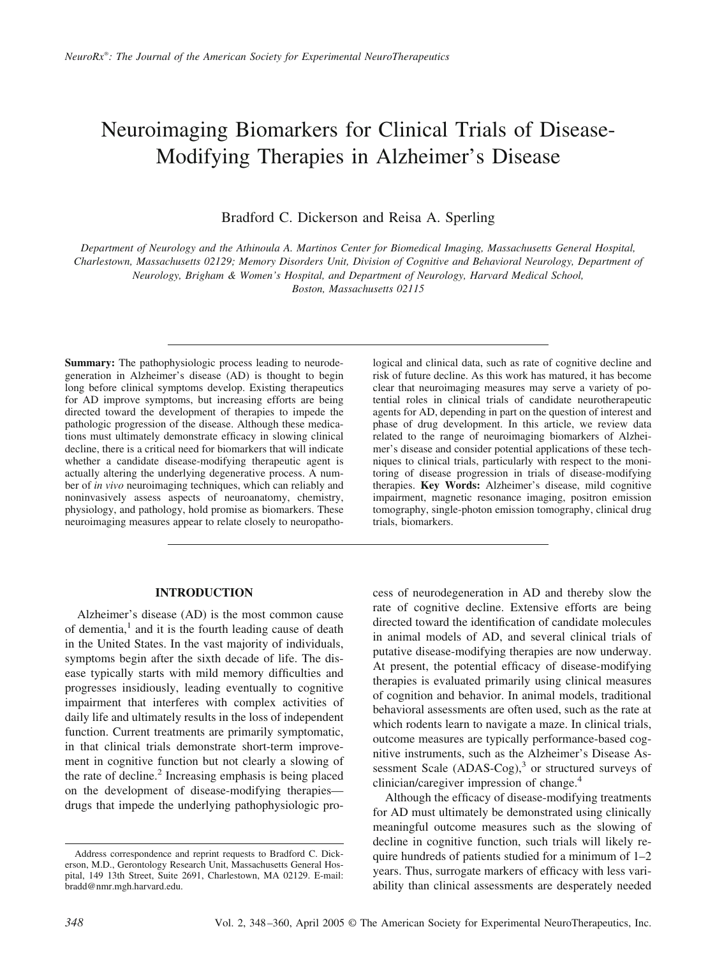# Neuroimaging Biomarkers for Clinical Trials of Disease-Modifying Therapies in Alzheimer's Disease

Bradford C. Dickerson and Reisa A. Sperling

*Department of Neurology and the Athinoula A. Martinos Center for Biomedical Imaging, Massachusetts General Hospital, Charlestown, Massachusetts 02129; Memory Disorders Unit, Division of Cognitive and Behavioral Neurology, Department of*

*Neurology, Brigham & Women's Hospital, and Department of Neurology, Harvard Medical School,*

*Boston, Massachusetts 02115*

**Summary:** The pathophysiologic process leading to neurodegeneration in Alzheimer's disease (AD) is thought to begin long before clinical symptoms develop. Existing therapeutics for AD improve symptoms, but increasing efforts are being directed toward the development of therapies to impede the pathologic progression of the disease. Although these medications must ultimately demonstrate efficacy in slowing clinical decline, there is a critical need for biomarkers that will indicate whether a candidate disease-modifying therapeutic agent is actually altering the underlying degenerative process. A number of *in vivo* neuroimaging techniques, which can reliably and noninvasively assess aspects of neuroanatomy, chemistry, physiology, and pathology, hold promise as biomarkers. These neuroimaging measures appear to relate closely to neuropatho-

#### **INTRODUCTION**

Alzheimer's disease (AD) is the most common cause of dementia, $<sup>1</sup>$  and it is the fourth leading cause of death</sup> in the United States. In the vast majority of individuals, symptoms begin after the sixth decade of life. The disease typically starts with mild memory difficulties and progresses insidiously, leading eventually to cognitive impairment that interferes with complex activities of daily life and ultimately results in the loss of independent function. Current treatments are primarily symptomatic, in that clinical trials demonstrate short-term improvement in cognitive function but not clearly a slowing of the rate of decline. $<sup>2</sup>$  Increasing emphasis is being placed</sup> on the development of disease-modifying therapies drugs that impede the underlying pathophysiologic prological and clinical data, such as rate of cognitive decline and risk of future decline. As this work has matured, it has become clear that neuroimaging measures may serve a variety of potential roles in clinical trials of candidate neurotherapeutic agents for AD, depending in part on the question of interest and phase of drug development. In this article, we review data related to the range of neuroimaging biomarkers of Alzheimer's disease and consider potential applications of these techniques to clinical trials, particularly with respect to the monitoring of disease progression in trials of disease-modifying therapies. **Key Words:** Alzheimer's disease, mild cognitive impairment, magnetic resonance imaging, positron emission tomography, single-photon emission tomography, clinical drug trials, biomarkers.

cess of neurodegeneration in AD and thereby slow the rate of cognitive decline. Extensive efforts are being directed toward the identification of candidate molecules in animal models of AD, and several clinical trials of putative disease-modifying therapies are now underway. At present, the potential efficacy of disease-modifying therapies is evaluated primarily using clinical measures of cognition and behavior. In animal models, traditional behavioral assessments are often used, such as the rate at which rodents learn to navigate a maze. In clinical trials, outcome measures are typically performance-based cognitive instruments, such as the Alzheimer's Disease Assessment Scale  $(ADAS-Cog)$ ,<sup>3</sup> or structured surveys of clinician/caregiver impression of change.<sup>4</sup>

Although the efficacy of disease-modifying treatments for AD must ultimately be demonstrated using clinically meaningful outcome measures such as the slowing of decline in cognitive function, such trials will likely require hundreds of patients studied for a minimum of 1–2 years. Thus, surrogate markers of efficacy with less variability than clinical assessments are desperately needed

Address correspondence and reprint requests to Bradford C. Dickerson, M.D., Gerontology Research Unit, Massachusetts General Hospital, 149 13th Street, Suite 2691, Charlestown, MA 02129. E-mail: bradd@nmr.mgh.harvard.edu.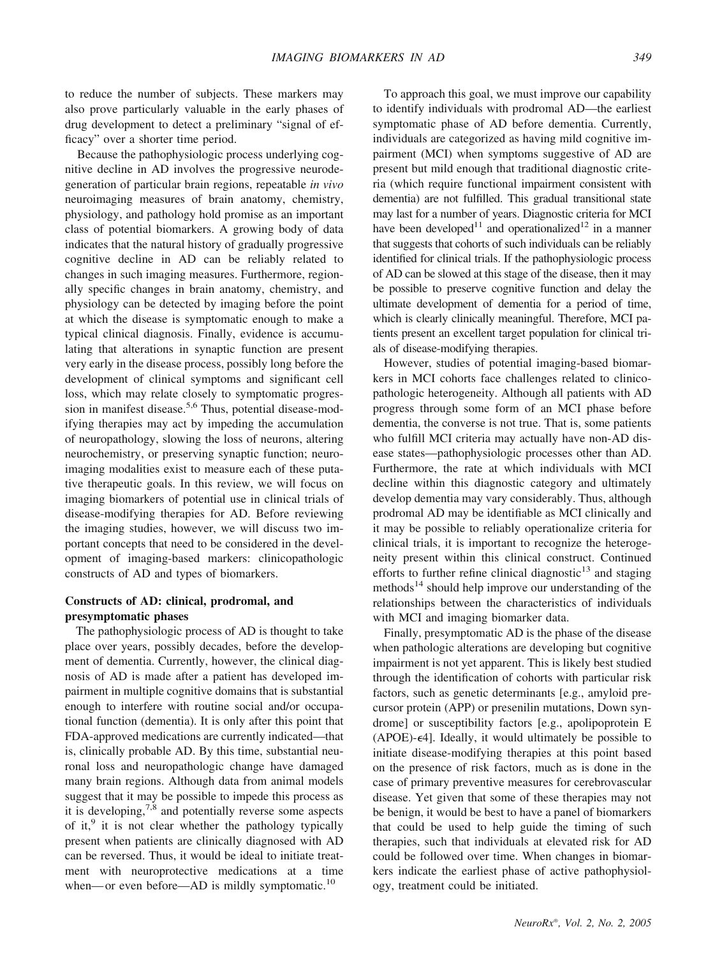to reduce the number of subjects. These markers may also prove particularly valuable in the early phases of drug development to detect a preliminary "signal of efficacy" over a shorter time period.

Because the pathophysiologic process underlying cognitive decline in AD involves the progressive neurodegeneration of particular brain regions, repeatable *in vivo* neuroimaging measures of brain anatomy, chemistry, physiology, and pathology hold promise as an important class of potential biomarkers. A growing body of data indicates that the natural history of gradually progressive cognitive decline in AD can be reliably related to changes in such imaging measures. Furthermore, regionally specific changes in brain anatomy, chemistry, and physiology can be detected by imaging before the point at which the disease is symptomatic enough to make a typical clinical diagnosis. Finally, evidence is accumulating that alterations in synaptic function are present very early in the disease process, possibly long before the development of clinical symptoms and significant cell loss, which may relate closely to symptomatic progression in manifest disease.<sup>5,6</sup> Thus, potential disease-modifying therapies may act by impeding the accumulation of neuropathology, slowing the loss of neurons, altering neurochemistry, or preserving synaptic function; neuroimaging modalities exist to measure each of these putative therapeutic goals. In this review, we will focus on imaging biomarkers of potential use in clinical trials of disease-modifying therapies for AD. Before reviewing the imaging studies, however, we will discuss two important concepts that need to be considered in the development of imaging-based markers: clinicopathologic constructs of AD and types of biomarkers.

# **Constructs of AD: clinical, prodromal, and presymptomatic phases**

The pathophysiologic process of AD is thought to take place over years, possibly decades, before the development of dementia. Currently, however, the clinical diagnosis of AD is made after a patient has developed impairment in multiple cognitive domains that is substantial enough to interfere with routine social and/or occupational function (dementia). It is only after this point that FDA-approved medications are currently indicated—that is, clinically probable AD. By this time, substantial neuronal loss and neuropathologic change have damaged many brain regions. Although data from animal models suggest that it may be possible to impede this process as it is developing, $7.8$  and potentially reverse some aspects of it, $9$  it is not clear whether the pathology typically present when patients are clinically diagnosed with AD can be reversed. Thus, it would be ideal to initiate treatment with neuroprotective medications at a time when— or even before—AD is mildly symptomatic. $^{10}$ 

To approach this goal, we must improve our capability to identify individuals with prodromal AD—the earliest symptomatic phase of AD before dementia. Currently, individuals are categorized as having mild cognitive impairment (MCI) when symptoms suggestive of AD are present but mild enough that traditional diagnostic criteria (which require functional impairment consistent with dementia) are not fulfilled. This gradual transitional state may last for a number of years. Diagnostic criteria for MCI have been developed<sup>11</sup> and operationalized<sup>12</sup> in a manner that suggests that cohorts of such individuals can be reliably identified for clinical trials. If the pathophysiologic process of AD can be slowed at this stage of the disease, then it may be possible to preserve cognitive function and delay the ultimate development of dementia for a period of time, which is clearly clinically meaningful. Therefore, MCI patients present an excellent target population for clinical trials of disease-modifying therapies.

However, studies of potential imaging-based biomarkers in MCI cohorts face challenges related to clinicopathologic heterogeneity. Although all patients with AD progress through some form of an MCI phase before dementia, the converse is not true. That is, some patients who fulfill MCI criteria may actually have non-AD disease states—pathophysiologic processes other than AD. Furthermore, the rate at which individuals with MCI decline within this diagnostic category and ultimately develop dementia may vary considerably. Thus, although prodromal AD may be identifiable as MCI clinically and it may be possible to reliably operationalize criteria for clinical trials, it is important to recognize the heterogeneity present within this clinical construct. Continued efforts to further refine clinical diagnostic $^{13}$  and staging methods<sup>14</sup> should help improve our understanding of the relationships between the characteristics of individuals with MCI and imaging biomarker data.

Finally, presymptomatic AD is the phase of the disease when pathologic alterations are developing but cognitive impairment is not yet apparent. This is likely best studied through the identification of cohorts with particular risk factors, such as genetic determinants [e.g., amyloid precursor protein (APP) or presenilin mutations, Down syndrome] or susceptibility factors [e.g., apolipoprotein E  $(APOE)- $\epsilon$ 4$ ]. Ideally, it would ultimately be possible to initiate disease-modifying therapies at this point based on the presence of risk factors, much as is done in the case of primary preventive measures for cerebrovascular disease. Yet given that some of these therapies may not be benign, it would be best to have a panel of biomarkers that could be used to help guide the timing of such therapies, such that individuals at elevated risk for AD could be followed over time. When changes in biomarkers indicate the earliest phase of active pathophysiology, treatment could be initiated.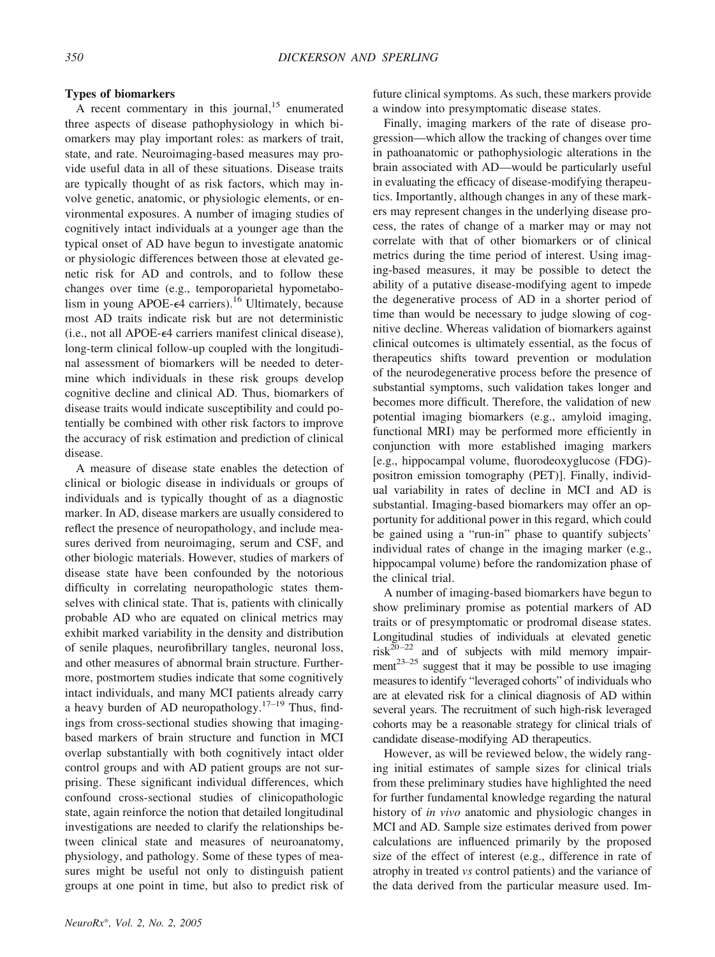### **Types of biomarkers**

A recent commentary in this journal, $15$  enumerated three aspects of disease pathophysiology in which biomarkers may play important roles: as markers of trait, state, and rate. Neuroimaging-based measures may provide useful data in all of these situations. Disease traits are typically thought of as risk factors, which may involve genetic, anatomic, or physiologic elements, or environmental exposures. A number of imaging studies of cognitively intact individuals at a younger age than the typical onset of AD have begun to investigate anatomic or physiologic differences between those at elevated genetic risk for AD and controls, and to follow these changes over time (e.g., temporoparietal hypometabolism in young APOE- $\epsilon$ 4 carriers).<sup>16</sup> Ultimately, because most AD traits indicate risk but are not deterministic  $(i.e., not all APOE- $\epsilon$ 4 carriers manifest clinical disease),$ long-term clinical follow-up coupled with the longitudinal assessment of biomarkers will be needed to determine which individuals in these risk groups develop cognitive decline and clinical AD. Thus, biomarkers of disease traits would indicate susceptibility and could potentially be combined with other risk factors to improve the accuracy of risk estimation and prediction of clinical disease.

A measure of disease state enables the detection of clinical or biologic disease in individuals or groups of individuals and is typically thought of as a diagnostic marker. In AD, disease markers are usually considered to reflect the presence of neuropathology, and include measures derived from neuroimaging, serum and CSF, and other biologic materials. However, studies of markers of disease state have been confounded by the notorious difficulty in correlating neuropathologic states themselves with clinical state. That is, patients with clinically probable AD who are equated on clinical metrics may exhibit marked variability in the density and distribution of senile plaques, neurofibrillary tangles, neuronal loss, and other measures of abnormal brain structure. Furthermore, postmortem studies indicate that some cognitively intact individuals, and many MCI patients already carry a heavy burden of AD neuropathology.<sup>17–19</sup> Thus, findings from cross-sectional studies showing that imagingbased markers of brain structure and function in MCI overlap substantially with both cognitively intact older control groups and with AD patient groups are not surprising. These significant individual differences, which confound cross-sectional studies of clinicopathologic state, again reinforce the notion that detailed longitudinal investigations are needed to clarify the relationships between clinical state and measures of neuroanatomy, physiology, and pathology. Some of these types of measures might be useful not only to distinguish patient groups at one point in time, but also to predict risk of

future clinical symptoms. As such, these markers provide a window into presymptomatic disease states.

Finally, imaging markers of the rate of disease progression—which allow the tracking of changes over time in pathoanatomic or pathophysiologic alterations in the brain associated with AD—would be particularly useful in evaluating the efficacy of disease-modifying therapeutics. Importantly, although changes in any of these markers may represent changes in the underlying disease process, the rates of change of a marker may or may not correlate with that of other biomarkers or of clinical metrics during the time period of interest. Using imaging-based measures, it may be possible to detect the ability of a putative disease-modifying agent to impede the degenerative process of AD in a shorter period of time than would be necessary to judge slowing of cognitive decline. Whereas validation of biomarkers against clinical outcomes is ultimately essential, as the focus of therapeutics shifts toward prevention or modulation of the neurodegenerative process before the presence of substantial symptoms, such validation takes longer and becomes more difficult. Therefore, the validation of new potential imaging biomarkers (e.g., amyloid imaging, functional MRI) may be performed more efficiently in conjunction with more established imaging markers [e.g., hippocampal volume, fluorodeoxyglucose (FDG) positron emission tomography (PET)]. Finally, individual variability in rates of decline in MCI and AD is substantial. Imaging-based biomarkers may offer an opportunity for additional power in this regard, which could be gained using a "run-in" phase to quantify subjects' individual rates of change in the imaging marker (e.g., hippocampal volume) before the randomization phase of the clinical trial.

A number of imaging-based biomarkers have begun to show preliminary promise as potential markers of AD traits or of presymptomatic or prodromal disease states. Longitudinal studies of individuals at elevated genetic risk $^{20-22}$  and of subjects with mild memory impairment<sup>23–25</sup> suggest that it may be possible to use imaging measures to identify "leveraged cohorts" of individuals who are at elevated risk for a clinical diagnosis of AD within several years. The recruitment of such high-risk leveraged cohorts may be a reasonable strategy for clinical trials of candidate disease-modifying AD therapeutics.

However, as will be reviewed below, the widely ranging initial estimates of sample sizes for clinical trials from these preliminary studies have highlighted the need for further fundamental knowledge regarding the natural history of *in vivo* anatomic and physiologic changes in MCI and AD. Sample size estimates derived from power calculations are influenced primarily by the proposed size of the effect of interest (e.g., difference in rate of atrophy in treated *vs* control patients) and the variance of the data derived from the particular measure used. Im-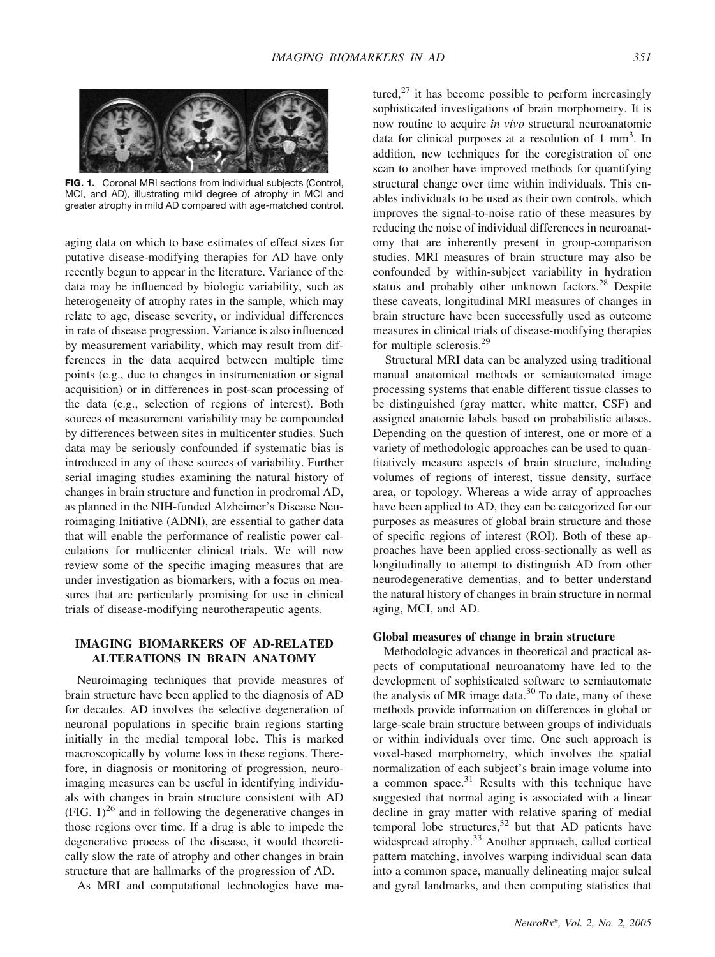

**FIG. 1.** Coronal MRI sections from individual subjects (Control, MCI, and AD), illustrating mild degree of atrophy in MCI and greater atrophy in mild AD compared with age-matched control.

aging data on which to base estimates of effect sizes for putative disease-modifying therapies for AD have only recently begun to appear in the literature. Variance of the data may be influenced by biologic variability, such as heterogeneity of atrophy rates in the sample, which may relate to age, disease severity, or individual differences in rate of disease progression. Variance is also influenced by measurement variability, which may result from differences in the data acquired between multiple time points (e.g., due to changes in instrumentation or signal acquisition) or in differences in post-scan processing of the data (e.g., selection of regions of interest). Both sources of measurement variability may be compounded by differences between sites in multicenter studies. Such data may be seriously confounded if systematic bias is introduced in any of these sources of variability. Further serial imaging studies examining the natural history of changes in brain structure and function in prodromal AD, as planned in the NIH-funded Alzheimer's Disease Neuroimaging Initiative (ADNI), are essential to gather data that will enable the performance of realistic power calculations for multicenter clinical trials. We will now review some of the specific imaging measures that are under investigation as biomarkers, with a focus on measures that are particularly promising for use in clinical trials of disease-modifying neurotherapeutic agents.

# **IMAGING BIOMARKERS OF AD-RELATED ALTERATIONS IN BRAIN ANATOMY**

Neuroimaging techniques that provide measures of brain structure have been applied to the diagnosis of AD for decades. AD involves the selective degeneration of neuronal populations in specific brain regions starting initially in the medial temporal lobe. This is marked macroscopically by volume loss in these regions. Therefore, in diagnosis or monitoring of progression, neuroimaging measures can be useful in identifying individuals with changes in brain structure consistent with AD  $(FIG. 1)^{26}$  and in following the degenerative changes in those regions over time. If a drug is able to impede the degenerative process of the disease, it would theoretically slow the rate of atrophy and other changes in brain structure that are hallmarks of the progression of AD.

As MRI and computational technologies have ma-

tured, $27$  it has become possible to perform increasingly sophisticated investigations of brain morphometry. It is now routine to acquire *in vivo* structural neuroanatomic data for clinical purposes at a resolution of  $1 \text{ mm}^3$ . In addition, new techniques for the coregistration of one scan to another have improved methods for quantifying structural change over time within individuals. This enables individuals to be used as their own controls, which improves the signal-to-noise ratio of these measures by reducing the noise of individual differences in neuroanatomy that are inherently present in group-comparison studies. MRI measures of brain structure may also be confounded by within-subject variability in hydration status and probably other unknown factors.<sup>28</sup> Despite these caveats, longitudinal MRI measures of changes in brain structure have been successfully used as outcome measures in clinical trials of disease-modifying therapies for multiple sclerosis.29

Structural MRI data can be analyzed using traditional manual anatomical methods or semiautomated image processing systems that enable different tissue classes to be distinguished (gray matter, white matter, CSF) and assigned anatomic labels based on probabilistic atlases. Depending on the question of interest, one or more of a variety of methodologic approaches can be used to quantitatively measure aspects of brain structure, including volumes of regions of interest, tissue density, surface area, or topology. Whereas a wide array of approaches have been applied to AD, they can be categorized for our purposes as measures of global brain structure and those of specific regions of interest (ROI). Both of these approaches have been applied cross-sectionally as well as longitudinally to attempt to distinguish AD from other neurodegenerative dementias, and to better understand the natural history of changes in brain structure in normal aging, MCI, and AD.

### **Global measures of change in brain structure**

Methodologic advances in theoretical and practical aspects of computational neuroanatomy have led to the development of sophisticated software to semiautomate the analysis of MR image data.<sup>30</sup> To date, many of these methods provide information on differences in global or large-scale brain structure between groups of individuals or within individuals over time. One such approach is voxel-based morphometry, which involves the spatial normalization of each subject's brain image volume into a common space. $31$  Results with this technique have suggested that normal aging is associated with a linear decline in gray matter with relative sparing of medial temporal lobe structures, $32$  but that AD patients have widespread atrophy.<sup>33</sup> Another approach, called cortical pattern matching, involves warping individual scan data into a common space, manually delineating major sulcal and gyral landmarks, and then computing statistics that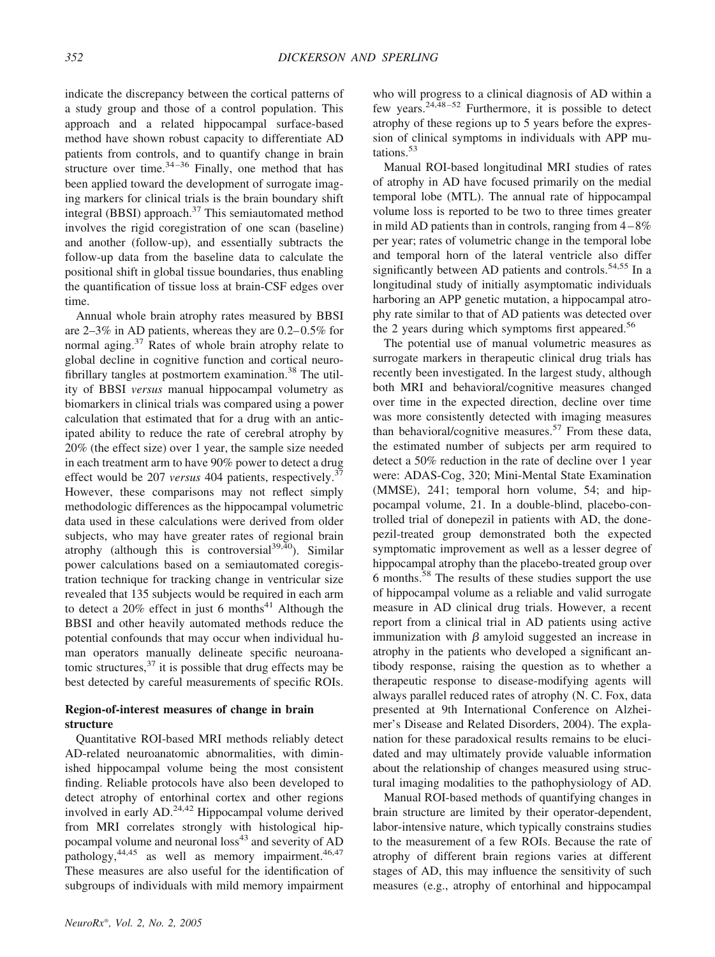indicate the discrepancy between the cortical patterns of a study group and those of a control population. This approach and a related hippocampal surface-based method have shown robust capacity to differentiate AD patients from controls, and to quantify change in brain structure over time. $34-36$  Finally, one method that has been applied toward the development of surrogate imaging markers for clinical trials is the brain boundary shift integral (BBSI) approach. $37$  This semiautomated method involves the rigid coregistration of one scan (baseline) and another (follow-up), and essentially subtracts the follow-up data from the baseline data to calculate the positional shift in global tissue boundaries, thus enabling the quantification of tissue loss at brain-CSF edges over time.

Annual whole brain atrophy rates measured by BBSI are 2–3% in AD patients, whereas they are 0.2– 0.5% for normal aging.<sup>37</sup> Rates of whole brain atrophy relate to global decline in cognitive function and cortical neurofibrillary tangles at postmortem examination.<sup>38</sup> The utility of BBSI *versus* manual hippocampal volumetry as biomarkers in clinical trials was compared using a power calculation that estimated that for a drug with an anticipated ability to reduce the rate of cerebral atrophy by 20% (the effect size) over 1 year, the sample size needed in each treatment arm to have 90% power to detect a drug effect would be 207 *versus* 404 patients, respectively.<sup>37</sup> However, these comparisons may not reflect simply methodologic differences as the hippocampal volumetric data used in these calculations were derived from older subjects, who may have greater rates of regional brain atrophy (although this is controversial $39,40$ ). Similar power calculations based on a semiautomated coregistration technique for tracking change in ventricular size revealed that 135 subjects would be required in each arm to detect a  $20\%$  effect in just 6 months<sup>41</sup> Although the BBSI and other heavily automated methods reduce the potential confounds that may occur when individual human operators manually delineate specific neuroanatomic structures,  $37$  it is possible that drug effects may be best detected by careful measurements of specific ROIs.

# **Region-of-interest measures of change in brain structure**

Quantitative ROI-based MRI methods reliably detect AD-related neuroanatomic abnormalities, with diminished hippocampal volume being the most consistent finding. Reliable protocols have also been developed to detect atrophy of entorhinal cortex and other regions involved in early  $AD<sup>24,42</sup>$  Hippocampal volume derived from MRI correlates strongly with histological hippocampal volume and neuronal  $loss^{43}$  and severity of AD pathology,  $44,45$  as well as memory impairment.  $46,47$ These measures are also useful for the identification of subgroups of individuals with mild memory impairment

who will progress to a clinical diagnosis of AD within a few years.  $24,48-52$  Furthermore, it is possible to detect atrophy of these regions up to 5 years before the expression of clinical symptoms in individuals with APP mutations.53

Manual ROI-based longitudinal MRI studies of rates of atrophy in AD have focused primarily on the medial temporal lobe (MTL). The annual rate of hippocampal volume loss is reported to be two to three times greater in mild AD patients than in controls, ranging from  $4-8\%$ per year; rates of volumetric change in the temporal lobe and temporal horn of the lateral ventricle also differ significantly between AD patients and controls.<sup>54,55</sup> In a longitudinal study of initially asymptomatic individuals harboring an APP genetic mutation, a hippocampal atrophy rate similar to that of AD patients was detected over the 2 years during which symptoms first appeared.<sup>56</sup>

The potential use of manual volumetric measures as surrogate markers in therapeutic clinical drug trials has recently been investigated. In the largest study, although both MRI and behavioral/cognitive measures changed over time in the expected direction, decline over time was more consistently detected with imaging measures than behavioral/cognitive measures.<sup>57</sup> From these data, the estimated number of subjects per arm required to detect a 50% reduction in the rate of decline over 1 year were: ADAS-Cog, 320; Mini-Mental State Examination (MMSE), 241; temporal horn volume, 54; and hippocampal volume, 21. In a double-blind, placebo-controlled trial of donepezil in patients with AD, the donepezil-treated group demonstrated both the expected symptomatic improvement as well as a lesser degree of hippocampal atrophy than the placebo-treated group over 6 months.58 The results of these studies support the use of hippocampal volume as a reliable and valid surrogate measure in AD clinical drug trials. However, a recent report from a clinical trial in AD patients using active immunization with  $\beta$  amyloid suggested an increase in atrophy in the patients who developed a significant antibody response, raising the question as to whether a therapeutic response to disease-modifying agents will always parallel reduced rates of atrophy (N. C. Fox, data presented at 9th International Conference on Alzheimer's Disease and Related Disorders, 2004). The explanation for these paradoxical results remains to be elucidated and may ultimately provide valuable information about the relationship of changes measured using structural imaging modalities to the pathophysiology of AD.

Manual ROI-based methods of quantifying changes in brain structure are limited by their operator-dependent, labor-intensive nature, which typically constrains studies to the measurement of a few ROIs. Because the rate of atrophy of different brain regions varies at different stages of AD, this may influence the sensitivity of such measures (e.g., atrophy of entorhinal and hippocampal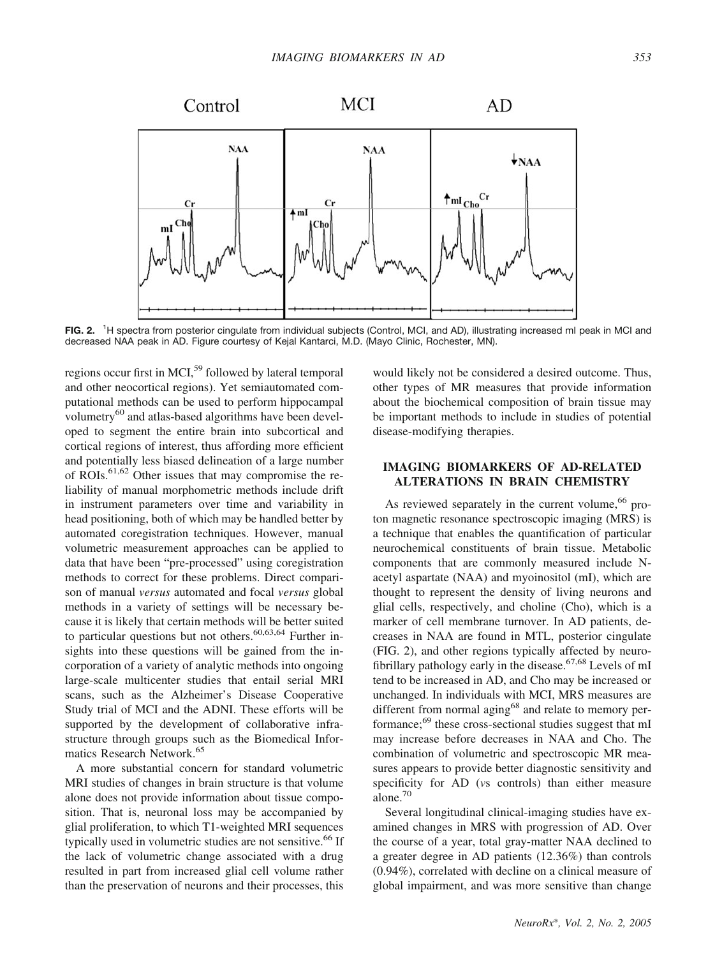

FIG. 2. <sup>1</sup>H spectra from posterior cingulate from individual subjects (Control, MCI, and AD), illustrating increased mI peak in MCI and decreased NAA peak in AD. Figure courtesy of Kejal Kantarci, M.D. (Mayo Clinic, Rochester, MN).

regions occur first in MCI,<sup>59</sup> followed by lateral temporal and other neocortical regions). Yet semiautomated computational methods can be used to perform hippocampal volumetry<sup>60</sup> and atlas-based algorithms have been developed to segment the entire brain into subcortical and cortical regions of interest, thus affording more efficient and potentially less biased delineation of a large number of ROIs.61,62 Other issues that may compromise the reliability of manual morphometric methods include drift in instrument parameters over time and variability in head positioning, both of which may be handled better by automated coregistration techniques. However, manual volumetric measurement approaches can be applied to data that have been "pre-processed" using coregistration methods to correct for these problems. Direct comparison of manual *versus* automated and focal *versus* global methods in a variety of settings will be necessary because it is likely that certain methods will be better suited to particular questions but not others.<sup>60,63,64</sup> Further insights into these questions will be gained from the incorporation of a variety of analytic methods into ongoing large-scale multicenter studies that entail serial MRI scans, such as the Alzheimer's Disease Cooperative Study trial of MCI and the ADNI. These efforts will be supported by the development of collaborative infrastructure through groups such as the Biomedical Informatics Research Network.<sup>65</sup>

A more substantial concern for standard volumetric MRI studies of changes in brain structure is that volume alone does not provide information about tissue composition. That is, neuronal loss may be accompanied by glial proliferation, to which T1-weighted MRI sequences typically used in volumetric studies are not sensitive.<sup>66</sup> If the lack of volumetric change associated with a drug resulted in part from increased glial cell volume rather than the preservation of neurons and their processes, this

would likely not be considered a desired outcome. Thus, other types of MR measures that provide information about the biochemical composition of brain tissue may be important methods to include in studies of potential disease-modifying therapies.

# **IMAGING BIOMARKERS OF AD-RELATED ALTERATIONS IN BRAIN CHEMISTRY**

As reviewed separately in the current volume,  $66$  proton magnetic resonance spectroscopic imaging (MRS) is a technique that enables the quantification of particular neurochemical constituents of brain tissue. Metabolic components that are commonly measured include Nacetyl aspartate (NAA) and myoinositol (mI), which are thought to represent the density of living neurons and glial cells, respectively, and choline (Cho), which is a marker of cell membrane turnover. In AD patients, decreases in NAA are found in MTL, posterior cingulate (FIG. 2), and other regions typically affected by neurofibrillary pathology early in the disease.  $67,68$  Levels of mI tend to be increased in AD, and Cho may be increased or unchanged. In individuals with MCI, MRS measures are different from normal aging<sup>68</sup> and relate to memory performance;69 these cross-sectional studies suggest that mI may increase before decreases in NAA and Cho. The combination of volumetric and spectroscopic MR measures appears to provide better diagnostic sensitivity and specificity for AD (*v*s controls) than either measure alone.70

Several longitudinal clinical-imaging studies have examined changes in MRS with progression of AD. Over the course of a year, total gray-matter NAA declined to a greater degree in AD patients (12.36%) than controls (0.94%), correlated with decline on a clinical measure of global impairment, and was more sensitive than change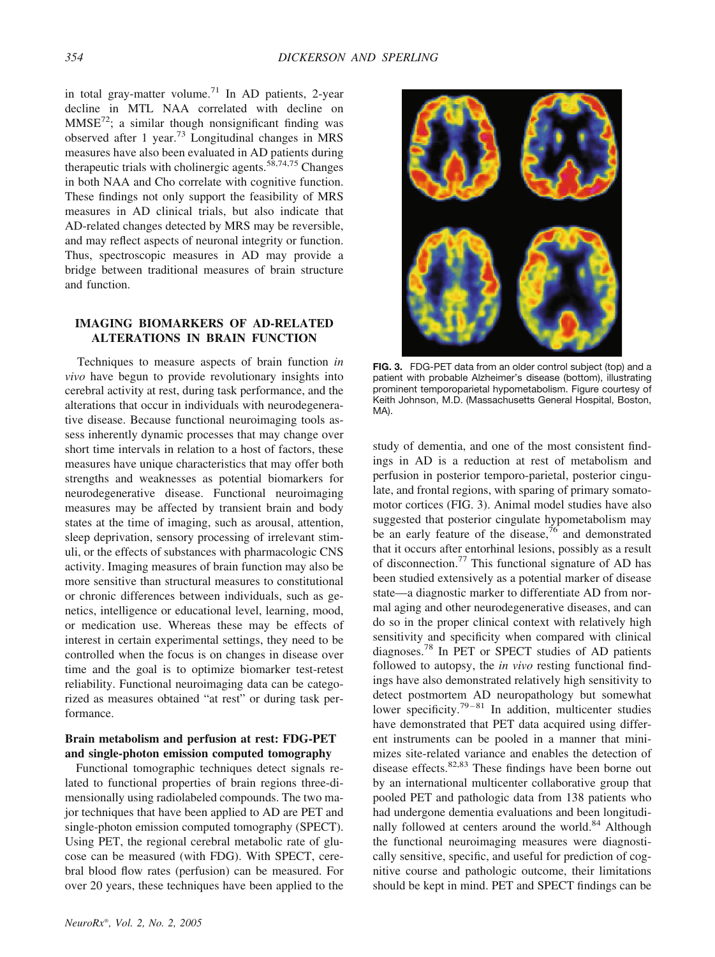in total gray-matter volume. $71$  In AD patients, 2-year decline in MTL NAA correlated with decline on  $MMSE^{72}$ ; a similar though nonsignificant finding was observed after 1 year.73 Longitudinal changes in MRS measures have also been evaluated in AD patients during therapeutic trials with cholinergic agents. $58,74,75$  Changes in both NAA and Cho correlate with cognitive function. These findings not only support the feasibility of MRS measures in AD clinical trials, but also indicate that AD-related changes detected by MRS may be reversible, and may reflect aspects of neuronal integrity or function. Thus, spectroscopic measures in AD may provide a bridge between traditional measures of brain structure and function.

# **IMAGING BIOMARKERS OF AD-RELATED ALTERATIONS IN BRAIN FUNCTION**

Techniques to measure aspects of brain function *in vivo* have begun to provide revolutionary insights into cerebral activity at rest, during task performance, and the alterations that occur in individuals with neurodegenerative disease. Because functional neuroimaging tools assess inherently dynamic processes that may change over short time intervals in relation to a host of factors, these measures have unique characteristics that may offer both strengths and weaknesses as potential biomarkers for neurodegenerative disease. Functional neuroimaging measures may be affected by transient brain and body states at the time of imaging, such as arousal, attention, sleep deprivation, sensory processing of irrelevant stimuli, or the effects of substances with pharmacologic CNS activity. Imaging measures of brain function may also be more sensitive than structural measures to constitutional or chronic differences between individuals, such as genetics, intelligence or educational level, learning, mood, or medication use. Whereas these may be effects of interest in certain experimental settings, they need to be controlled when the focus is on changes in disease over time and the goal is to optimize biomarker test-retest reliability. Functional neuroimaging data can be categorized as measures obtained "at rest" or during task performance.

### **Brain metabolism and perfusion at rest: FDG-PET and single-photon emission computed tomography**

Functional tomographic techniques detect signals related to functional properties of brain regions three-dimensionally using radiolabeled compounds. The two major techniques that have been applied to AD are PET and single-photon emission computed tomography (SPECT). Using PET, the regional cerebral metabolic rate of glucose can be measured (with FDG). With SPECT, cerebral blood flow rates (perfusion) can be measured. For over 20 years, these techniques have been applied to the



**FIG. 3.** FDG-PET data from an older control subject (top) and a patient with probable Alzheimer's disease (bottom), illustrating prominent temporoparietal hypometabolism. Figure courtesy of Keith Johnson, M.D. (Massachusetts General Hospital, Boston, MA).

study of dementia, and one of the most consistent findings in AD is a reduction at rest of metabolism and perfusion in posterior temporo-parietal, posterior cingulate, and frontal regions, with sparing of primary somatomotor cortices (FIG. 3). Animal model studies have also suggested that posterior cingulate hypometabolism may be an early feature of the disease,  $\frac{76}{6}$  and demonstrated that it occurs after entorhinal lesions, possibly as a result of disconnection.77 This functional signature of AD has been studied extensively as a potential marker of disease state—a diagnostic marker to differentiate AD from normal aging and other neurodegenerative diseases, and can do so in the proper clinical context with relatively high sensitivity and specificity when compared with clinical diagnoses.78 In PET or SPECT studies of AD patients followed to autopsy, the *in vivo* resting functional findings have also demonstrated relatively high sensitivity to detect postmortem AD neuropathology but somewhat lower specificity.<sup>79-81</sup> In addition, multicenter studies have demonstrated that PET data acquired using different instruments can be pooled in a manner that minimizes site-related variance and enables the detection of disease effects.<sup>82,83</sup> These findings have been borne out by an international multicenter collaborative group that pooled PET and pathologic data from 138 patients who had undergone dementia evaluations and been longitudinally followed at centers around the world.<sup>84</sup> Although the functional neuroimaging measures were diagnostically sensitive, specific, and useful for prediction of cognitive course and pathologic outcome, their limitations should be kept in mind. PET and SPECT findings can be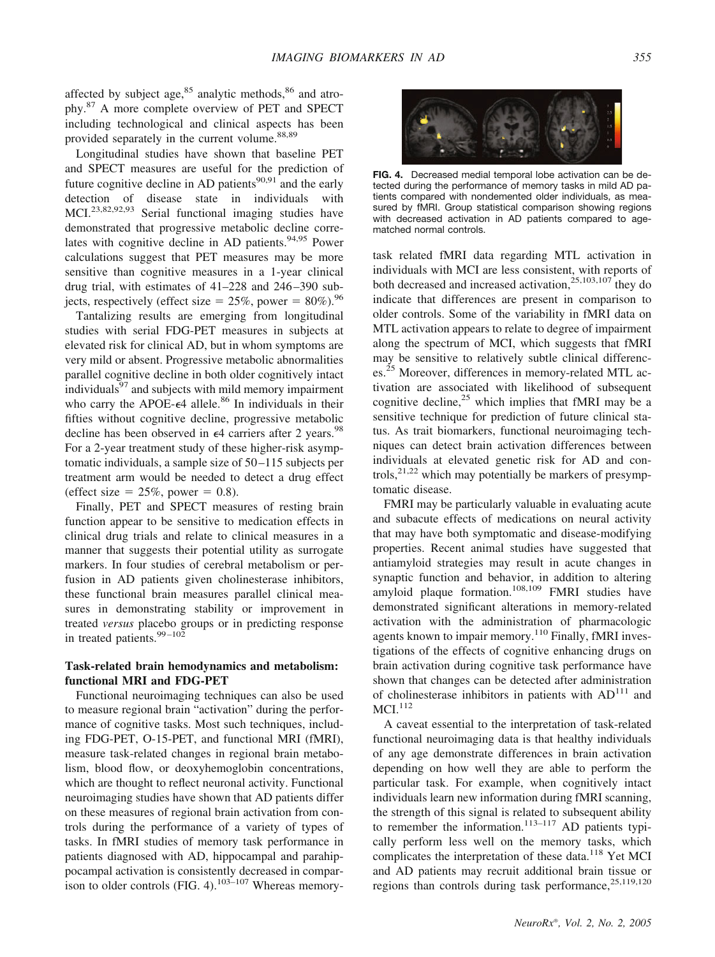affected by subject age, $85$  analytic methods, $86$  and atrophy.87 A more complete overview of PET and SPECT including technological and clinical aspects has been provided separately in the current volume.<sup>88,89</sup>

Longitudinal studies have shown that baseline PET and SPECT measures are useful for the prediction of future cognitive decline in AD patients $90,91$  and the early detection of disease state in individuals with MCI.23,82,92,93 Serial functional imaging studies have demonstrated that progressive metabolic decline correlates with cognitive decline in AD patients.<sup>94,95</sup> Power calculations suggest that PET measures may be more sensitive than cognitive measures in a 1-year clinical drug trial, with estimates of 41–228 and 246 –390 subjects, respectively (effect size  $= 25\%$ , power  $= 80\%$ ).<sup>96</sup>

Tantalizing results are emerging from longitudinal studies with serial FDG-PET measures in subjects at elevated risk for clinical AD, but in whom symptoms are very mild or absent. Progressive metabolic abnormalities parallel cognitive decline in both older cognitively intact individuals<sup>97</sup> and subjects with mild memory impairment who carry the APOE- $\epsilon$ 4 allele.<sup>86</sup> In individuals in their fifties without cognitive decline, progressive metabolic decline has been observed in  $\epsilon$ 4 carriers after 2 years.<sup>98</sup> For a 2-year treatment study of these higher-risk asymptomatic individuals, a sample size of 50 –115 subjects per treatment arm would be needed to detect a drug effect (effect size  $= 25\%$ , power  $= 0.8$ ).

Finally, PET and SPECT measures of resting brain function appear to be sensitive to medication effects in clinical drug trials and relate to clinical measures in a manner that suggests their potential utility as surrogate markers. In four studies of cerebral metabolism or perfusion in AD patients given cholinesterase inhibitors, these functional brain measures parallel clinical measures in demonstrating stability or improvement in treated *versus* placebo groups or in predicting response in treated patients.  $99-102$ 

### **Task-related brain hemodynamics and metabolism: functional MRI and FDG-PET**

Functional neuroimaging techniques can also be used to measure regional brain "activation" during the performance of cognitive tasks. Most such techniques, including FDG-PET, O-15-PET, and functional MRI (fMRI), measure task-related changes in regional brain metabolism, blood flow, or deoxyhemoglobin concentrations, which are thought to reflect neuronal activity. Functional neuroimaging studies have shown that AD patients differ on these measures of regional brain activation from controls during the performance of a variety of types of tasks. In fMRI studies of memory task performance in patients diagnosed with AD, hippocampal and parahippocampal activation is consistently decreased in comparison to older controls (FIG. 4). $103-107$  Whereas memory-



**FIG. 4.** Decreased medial temporal lobe activation can be detected during the performance of memory tasks in mild AD patients compared with nondemented older individuals, as measured by fMRI. Group statistical comparison showing regions with decreased activation in AD patients compared to agematched normal controls.

task related fMRI data regarding MTL activation in individuals with MCI are less consistent, with reports of both decreased and increased activation,<sup>25,103,107</sup> they do indicate that differences are present in comparison to older controls. Some of the variability in fMRI data on MTL activation appears to relate to degree of impairment along the spectrum of MCI, which suggests that fMRI may be sensitive to relatively subtle clinical differences.25 Moreover, differences in memory-related MTL activation are associated with likelihood of subsequent cognitive decline,<sup>25</sup> which implies that fMRI may be a sensitive technique for prediction of future clinical status. As trait biomarkers, functional neuroimaging techniques can detect brain activation differences between individuals at elevated genetic risk for AD and controls, $2^{1,22}$  which may potentially be markers of presymptomatic disease.

FMRI may be particularly valuable in evaluating acute and subacute effects of medications on neural activity that may have both symptomatic and disease-modifying properties. Recent animal studies have suggested that antiamyloid strategies may result in acute changes in synaptic function and behavior, in addition to altering amyloid plaque formation.<sup>108,109</sup> FMRI studies have demonstrated significant alterations in memory-related activation with the administration of pharmacologic agents known to impair memory.<sup>110</sup> Finally, fMRI investigations of the effects of cognitive enhancing drugs on brain activation during cognitive task performance have shown that changes can be detected after administration of cholinesterase inhibitors in patients with  $AD<sup>111</sup>$  and  $MCI.<sup>112</sup>$ 

A caveat essential to the interpretation of task-related functional neuroimaging data is that healthy individuals of any age demonstrate differences in brain activation depending on how well they are able to perform the particular task. For example, when cognitively intact individuals learn new information during fMRI scanning, the strength of this signal is related to subsequent ability to remember the information. $113-117$  AD patients typically perform less well on the memory tasks, which complicates the interpretation of these data.<sup>118</sup> Yet MCI and AD patients may recruit additional brain tissue or regions than controls during task performance,<sup>25,119,120</sup>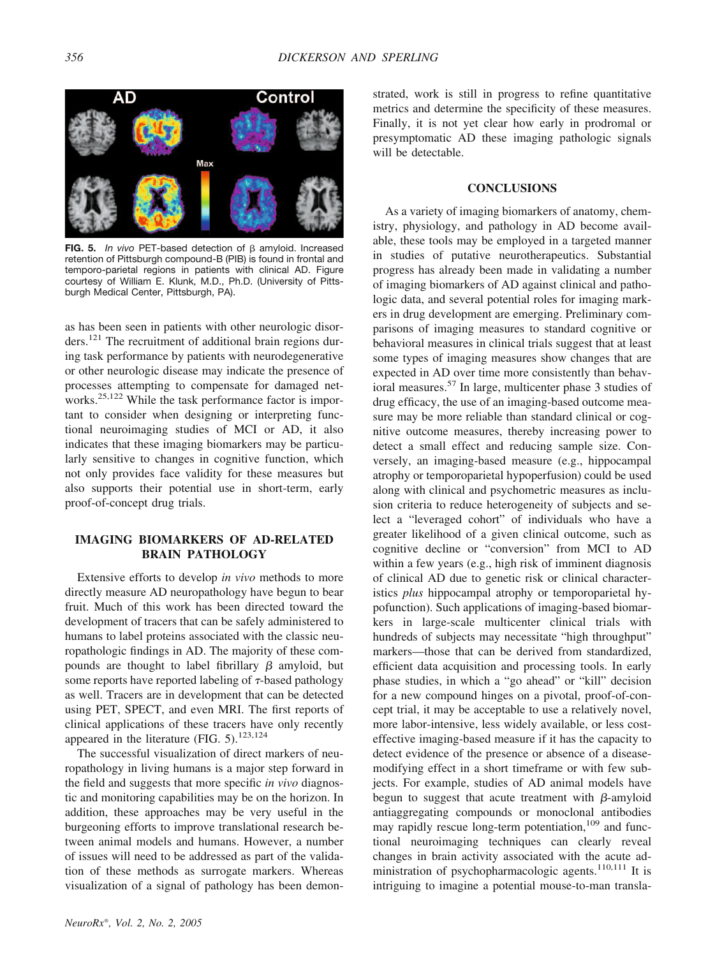

**FIG. 5.** *In vivo* PET-based detection of  $\beta$  amyloid. Increased retention of Pittsburgh compound-B (PIB) is found in frontal and temporo-parietal regions in patients with clinical AD. Figure courtesy of William E. Klunk, M.D., Ph.D. (University of Pittsburgh Medical Center, Pittsburgh, PA).

as has been seen in patients with other neurologic disorders.121 The recruitment of additional brain regions during task performance by patients with neurodegenerative or other neurologic disease may indicate the presence of processes attempting to compensate for damaged networks.25,122 While the task performance factor is important to consider when designing or interpreting functional neuroimaging studies of MCI or AD, it also indicates that these imaging biomarkers may be particularly sensitive to changes in cognitive function, which not only provides face validity for these measures but also supports their potential use in short-term, early proof-of-concept drug trials.

# **IMAGING BIOMARKERS OF AD-RELATED BRAIN PATHOLOGY**

Extensive efforts to develop *in vivo* methods to more directly measure AD neuropathology have begun to bear fruit. Much of this work has been directed toward the development of tracers that can be safely administered to humans to label proteins associated with the classic neuropathologic findings in AD. The majority of these compounds are thought to label fibrillary  $\beta$  amyloid, but some reports have reported labeling of  $\tau$ -based pathology as well. Tracers are in development that can be detected using PET, SPECT, and even MRI. The first reports of clinical applications of these tracers have only recently appeared in the literature (FIG.  $5$ ).<sup>123,124</sup>

The successful visualization of direct markers of neuropathology in living humans is a major step forward in the field and suggests that more specific *in vivo* diagnostic and monitoring capabilities may be on the horizon. In addition, these approaches may be very useful in the burgeoning efforts to improve translational research between animal models and humans. However, a number of issues will need to be addressed as part of the validation of these methods as surrogate markers. Whereas visualization of a signal of pathology has been demon-

#### **CONCLUSIONS**

As a variety of imaging biomarkers of anatomy, chemistry, physiology, and pathology in AD become available, these tools may be employed in a targeted manner in studies of putative neurotherapeutics. Substantial progress has already been made in validating a number of imaging biomarkers of AD against clinical and pathologic data, and several potential roles for imaging markers in drug development are emerging. Preliminary comparisons of imaging measures to standard cognitive or behavioral measures in clinical trials suggest that at least some types of imaging measures show changes that are expected in AD over time more consistently than behavioral measures.57 In large, multicenter phase 3 studies of drug efficacy, the use of an imaging-based outcome measure may be more reliable than standard clinical or cognitive outcome measures, thereby increasing power to detect a small effect and reducing sample size. Conversely, an imaging-based measure (e.g., hippocampal atrophy or temporoparietal hypoperfusion) could be used along with clinical and psychometric measures as inclusion criteria to reduce heterogeneity of subjects and select a "leveraged cohort" of individuals who have a greater likelihood of a given clinical outcome, such as cognitive decline or "conversion" from MCI to AD within a few years (e.g., high risk of imminent diagnosis of clinical AD due to genetic risk or clinical characteristics *plus* hippocampal atrophy or temporoparietal hypofunction). Such applications of imaging-based biomarkers in large-scale multicenter clinical trials with hundreds of subjects may necessitate "high throughput" markers—those that can be derived from standardized, efficient data acquisition and processing tools. In early phase studies, in which a "go ahead" or "kill" decision for a new compound hinges on a pivotal, proof-of-concept trial, it may be acceptable to use a relatively novel, more labor-intensive, less widely available, or less costeffective imaging-based measure if it has the capacity to detect evidence of the presence or absence of a diseasemodifying effect in a short timeframe or with few subjects. For example, studies of AD animal models have begun to suggest that acute treatment with  $\beta$ -amyloid antiaggregating compounds or monoclonal antibodies may rapidly rescue long-term potentiation, $109$  and functional neuroimaging techniques can clearly reveal changes in brain activity associated with the acute administration of psychopharmacologic agents.<sup>110,111</sup> It is intriguing to imagine a potential mouse-to-man transla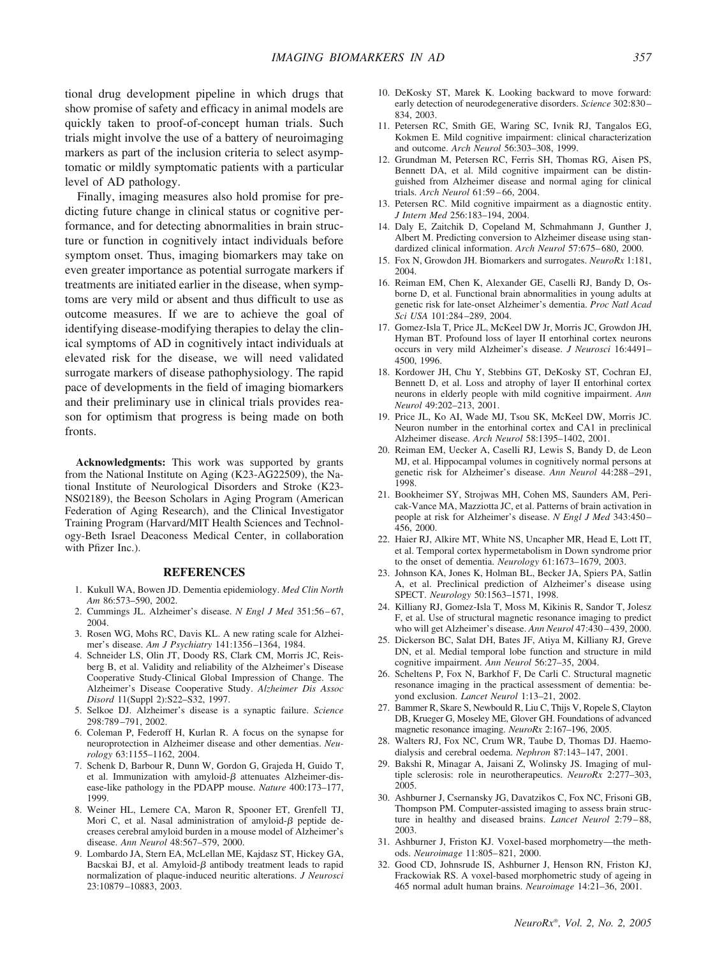tional drug development pipeline in which drugs that show promise of safety and efficacy in animal models are quickly taken to proof-of-concept human trials. Such trials might involve the use of a battery of neuroimaging markers as part of the inclusion criteria to select asymptomatic or mildly symptomatic patients with a particular level of AD pathology.

Finally, imaging measures also hold promise for predicting future change in clinical status or cognitive performance, and for detecting abnormalities in brain structure or function in cognitively intact individuals before symptom onset. Thus, imaging biomarkers may take on even greater importance as potential surrogate markers if treatments are initiated earlier in the disease, when symptoms are very mild or absent and thus difficult to use as outcome measures. If we are to achieve the goal of identifying disease-modifying therapies to delay the clinical symptoms of AD in cognitively intact individuals at elevated risk for the disease, we will need validated surrogate markers of disease pathophysiology. The rapid pace of developments in the field of imaging biomarkers and their preliminary use in clinical trials provides reason for optimism that progress is being made on both fronts.

**Acknowledgments:** This work was supported by grants from the National Institute on Aging (K23-AG22509), the National Institute of Neurological Disorders and Stroke (K23- NS02189), the Beeson Scholars in Aging Program (American Federation of Aging Research), and the Clinical Investigator Training Program (Harvard/MIT Health Sciences and Technology-Beth Israel Deaconess Medical Center, in collaboration with Pfizer Inc.).

#### **REFERENCES**

- 1. Kukull WA, Bowen JD. Dementia epidemiology. *Med Clin North Am* 86:573–590, 2002.
- 2. Cummings JL. Alzheimer's disease. *N Engl J Med* 351:56-67, 2004.
- 3. Rosen WG, Mohs RC, Davis KL. A new rating scale for Alzheimer's disease. *Am J Psychiatry* 141:1356 –1364, 1984.
- 4. Schneider LS, Olin JT, Doody RS, Clark CM, Morris JC, Reisberg B, et al. Validity and reliability of the Alzheimer's Disease Cooperative Study-Clinical Global Impression of Change. The Alzheimer's Disease Cooperative Study. *Alzheimer Dis Assoc Disord* 11(Suppl 2):S22–S32, 1997.
- 5. Selkoe DJ. Alzheimer's disease is a synaptic failure. *Science* 298:789 –791, 2002.
- 6. Coleman P, Federoff H, Kurlan R. A focus on the synapse for neuroprotection in Alzheimer disease and other dementias. *Neurology* 63:1155–1162, 2004.
- 7. Schenk D, Barbour R, Dunn W, Gordon G, Grajeda H, Guido T, et al. Immunization with amyloid- $\beta$  attenuates Alzheimer-disease-like pathology in the PDAPP mouse. *Nature* 400:173–177, 1999.
- 8. Weiner HL, Lemere CA, Maron R, Spooner ET, Grenfell TJ, Mori C, et al. Nasal administration of amyloid- $\beta$  peptide decreases cerebral amyloid burden in a mouse model of Alzheimer's disease. *Ann Neurol* 48:567–579, 2000.
- 9. Lombardo JA, Stern EA, McLellan ME, Kajdasz ST, Hickey GA, Bacskai BJ, et al. Amyloid- $\beta$  antibody treatment leads to rapid normalization of plaque-induced neuritic alterations. *J Neurosci* 23:10879 –10883, 2003.
- 10. DeKosky ST, Marek K. Looking backward to move forward: early detection of neurodegenerative disorders. *Science* 302:830 – 834, 2003.
- 11. Petersen RC, Smith GE, Waring SC, Ivnik RJ, Tangalos EG, Kokmen E. Mild cognitive impairment: clinical characterization and outcome. *Arch Neurol* 56:303–308, 1999.
- 12. Grundman M, Petersen RC, Ferris SH, Thomas RG, Aisen PS, Bennett DA, et al. Mild cognitive impairment can be distinguished from Alzheimer disease and normal aging for clinical trials. *Arch Neurol* 61:59 – 66, 2004.
- 13. Petersen RC. Mild cognitive impairment as a diagnostic entity. *J Intern Med* 256:183–194, 2004.
- 14. Daly E, Zaitchik D, Copeland M, Schmahmann J, Gunther J, Albert M. Predicting conversion to Alzheimer disease using standardized clinical information. *Arch Neurol* 57:675– 680, 2000.
- 15. Fox N, Growdon JH. Biomarkers and surrogates. *NeuroRx* 1:181, 2004.
- 16. Reiman EM, Chen K, Alexander GE, Caselli RJ, Bandy D, Osborne D, et al. Functional brain abnormalities in young adults at genetic risk for late-onset Alzheimer's dementia. *Proc Natl Acad Sci USA* 101:284 –289, 2004.
- 17. Gomez-Isla T, Price JL, McKeel DW Jr, Morris JC, Growdon JH, Hyman BT. Profound loss of layer II entorhinal cortex neurons occurs in very mild Alzheimer's disease. *J Neurosci* 16:4491– 4500, 1996.
- 18. Kordower JH, Chu Y, Stebbins GT, DeKosky ST, Cochran EJ, Bennett D, et al. Loss and atrophy of layer II entorhinal cortex neurons in elderly people with mild cognitive impairment. *Ann Neurol* 49:202–213, 2001.
- 19. Price JL, Ko AI, Wade MJ, Tsou SK, McKeel DW, Morris JC. Neuron number in the entorhinal cortex and CA1 in preclinical Alzheimer disease. *Arch Neurol* 58:1395–1402, 2001.
- 20. Reiman EM, Uecker A, Caselli RJ, Lewis S, Bandy D, de Leon MJ, et al. Hippocampal volumes in cognitively normal persons at genetic risk for Alzheimer's disease. *Ann Neurol* 44:288 –291, 1998.
- 21. Bookheimer SY, Strojwas MH, Cohen MS, Saunders AM, Pericak-Vance MA, Mazziotta JC, et al. Patterns of brain activation in people at risk for Alzheimer's disease. *N Engl J Med* 343:450 – 456, 2000.
- 22. Haier RJ, Alkire MT, White NS, Uncapher MR, Head E, Lott IT, et al. Temporal cortex hypermetabolism in Down syndrome prior to the onset of dementia. *Neurology* 61:1673–1679, 2003.
- 23. Johnson KA, Jones K, Holman BL, Becker JA, Spiers PA, Satlin A, et al. Preclinical prediction of Alzheimer's disease using SPECT. *Neurology* 50:1563–1571, 1998.
- 24. Killiany RJ, Gomez-Isla T, Moss M, Kikinis R, Sandor T, Jolesz F, et al. Use of structural magnetic resonance imaging to predict who will get Alzheimer's disease. *Ann Neurol* 47:430 – 439, 2000.
- 25. Dickerson BC, Salat DH, Bates JF, Atiya M, Killiany RJ, Greve DN, et al. Medial temporal lobe function and structure in mild cognitive impairment. *Ann Neurol* 56:27–35, 2004.
- 26. Scheltens P, Fox N, Barkhof F, De Carli C. Structural magnetic resonance imaging in the practical assessment of dementia: beyond exclusion. *Lancet Neurol* 1:13–21, 2002.
- 27. Bammer R, Skare S, Newbould R, Liu C, Thijs V, Ropele S, Clayton DB, Krueger G, Moseley ME, Glover GH. Foundations of advanced magnetic resonance imaging. *NeuroRx* 2:167–196, 2005.
- 28. Walters RJ, Fox NC, Crum WR, Taube D, Thomas DJ. Haemodialysis and cerebral oedema. *Nephron* 87:143–147, 2001.
- 29. Bakshi R, Minagar A, Jaisani Z, Wolinsky JS. Imaging of multiple sclerosis: role in neurotherapeutics. *NeuroRx* 2:277–303, 2005.
- 30. Ashburner J, Csernansky JG, Davatzikos C, Fox NC, Frisoni GB, Thompson PM. Computer-assisted imaging to assess brain structure in healthy and diseased brains. *Lancet Neurol* 2:79-88, 2003.
- 31. Ashburner J, Friston KJ. Voxel-based morphometry—the methods. *Neuroimage* 11:805– 821, 2000.
- 32. Good CD, Johnsrude IS, Ashburner J, Henson RN, Friston KJ, Frackowiak RS. A voxel-based morphometric study of ageing in 465 normal adult human brains. *Neuroimage* 14:21–36, 2001.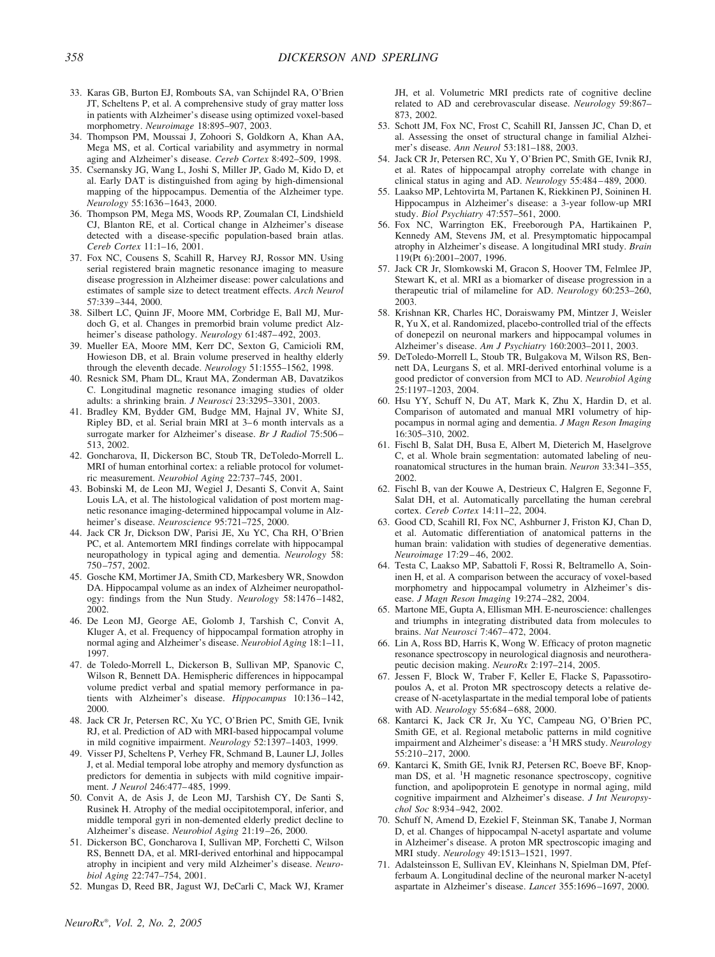- 33. Karas GB, Burton EJ, Rombouts SA, van Schijndel RA, O'Brien JT, Scheltens P, et al. A comprehensive study of gray matter loss in patients with Alzheimer's disease using optimized voxel-based morphometry. *Neuroimage* 18:895–907, 2003.
- 34. Thompson PM, Moussai J, Zohoori S, Goldkorn A, Khan AA, Mega MS, et al. Cortical variability and asymmetry in normal aging and Alzheimer's disease. *Cereb Cortex* 8:492–509, 1998.
- 35. Csernansky JG, Wang L, Joshi S, Miller JP, Gado M, Kido D, et al. Early DAT is distinguished from aging by high-dimensional mapping of the hippocampus. Dementia of the Alzheimer type. *Neurology* 55:1636 –1643, 2000.
- 36. Thompson PM, Mega MS, Woods RP, Zoumalan CI, Lindshield CJ, Blanton RE, et al. Cortical change in Alzheimer's disease detected with a disease-specific population-based brain atlas. *Cereb Cortex* 11:1–16, 2001.
- 37. Fox NC, Cousens S, Scahill R, Harvey RJ, Rossor MN. Using serial registered brain magnetic resonance imaging to measure disease progression in Alzheimer disease: power calculations and estimates of sample size to detect treatment effects. *Arch Neurol* 57:339 –344, 2000.
- 38. Silbert LC, Quinn JF, Moore MM, Corbridge E, Ball MJ, Murdoch G, et al. Changes in premorbid brain volume predict Alzheimer's disease pathology. *Neurology* 61:487-492, 2003.
- 39. Mueller EA, Moore MM, Kerr DC, Sexton G, Camicioli RM, Howieson DB, et al. Brain volume preserved in healthy elderly through the eleventh decade. *Neurology* 51:1555–1562, 1998.
- 40. Resnick SM, Pham DL, Kraut MA, Zonderman AB, Davatzikos C. Longitudinal magnetic resonance imaging studies of older adults: a shrinking brain. *J Neurosci* 23:3295–3301, 2003.
- 41. Bradley KM, Bydder GM, Budge MM, Hajnal JV, White SJ, Ripley BD, et al. Serial brain MRI at 3–6 month intervals as a surrogate marker for Alzheimer's disease. *Br J Radiol* 75:506 – 513, 2002.
- 42. Goncharova, II, Dickerson BC, Stoub TR, DeToledo-Morrell L. MRI of human entorhinal cortex: a reliable protocol for volumetric measurement. *Neurobiol Aging* 22:737–745, 2001.
- 43. Bobinski M, de Leon MJ, Wegiel J, Desanti S, Convit A, Saint Louis LA, et al. The histological validation of post mortem magnetic resonance imaging-determined hippocampal volume in Alzheimer's disease. *Neuroscience* 95:721–725, 2000.
- 44. Jack CR Jr, Dickson DW, Parisi JE, Xu YC, Cha RH, O'Brien PC, et al. Antemortem MRI findings correlate with hippocampal neuropathology in typical aging and dementia. *Neurology* 58: 750 –757, 2002.
- 45. Gosche KM, Mortimer JA, Smith CD, Markesbery WR, Snowdon DA. Hippocampal volume as an index of Alzheimer neuropathology: findings from the Nun Study. *Neurology* 58:1476 –1482, 2002.
- 46. De Leon MJ, George AE, Golomb J, Tarshish C, Convit A, Kluger A, et al. Frequency of hippocampal formation atrophy in normal aging and Alzheimer's disease. *Neurobiol Aging* 18:1–11, 1997.
- 47. de Toledo-Morrell L, Dickerson B, Sullivan MP, Spanovic C, Wilson R, Bennett DA. Hemispheric differences in hippocampal volume predict verbal and spatial memory performance in patients with Alzheimer's disease. *Hippocampus* 10:136 –142, 2000.
- 48. Jack CR Jr, Petersen RC, Xu YC, O'Brien PC, Smith GE, Ivnik RJ, et al. Prediction of AD with MRI-based hippocampal volume in mild cognitive impairment. *Neurology* 52:1397–1403, 1999.
- 49. Visser PJ, Scheltens P, Verhey FR, Schmand B, Launer LJ, Jolles J, et al. Medial temporal lobe atrophy and memory dysfunction as predictors for dementia in subjects with mild cognitive impairment. *J Neurol* 246:477– 485, 1999.
- 50. Convit A, de Asis J, de Leon MJ, Tarshish CY, De Santi S, Rusinek H. Atrophy of the medial occipitotemporal, inferior, and middle temporal gyri in non-demented elderly predict decline to Alzheimer's disease. *Neurobiol Aging* 21:19 –26, 2000.
- 51. Dickerson BC, Goncharova I, Sullivan MP, Forchetti C, Wilson RS, Bennett DA, et al. MRI-derived entorhinal and hippocampal atrophy in incipient and very mild Alzheimer's disease. *Neurobiol Aging* 22:747–754, 2001.
- 52. Mungas D, Reed BR, Jagust WJ, DeCarli C, Mack WJ, Kramer

JH, et al. Volumetric MRI predicts rate of cognitive decline related to AD and cerebrovascular disease. *Neurology* 59:867– 873, 2002.

- 53. Schott JM, Fox NC, Frost C, Scahill RI, Janssen JC, Chan D, et al. Assessing the onset of structural change in familial Alzheimer's disease. *Ann Neurol* 53:181–188, 2003.
- 54. Jack CR Jr, Petersen RC, Xu Y, O'Brien PC, Smith GE, Ivnik RJ, et al. Rates of hippocampal atrophy correlate with change in clinical status in aging and AD. *Neurology* 55:484 – 489, 2000.
- 55. Laakso MP, Lehtovirta M, Partanen K, Riekkinen PJ, Soininen H. Hippocampus in Alzheimer's disease: a 3-year follow-up MRI study. *Biol Psychiatry* 47:557–561, 2000.
- 56. Fox NC, Warrington EK, Freeborough PA, Hartikainen P, Kennedy AM, Stevens JM, et al. Presymptomatic hippocampal atrophy in Alzheimer's disease. A longitudinal MRI study. *Brain* 119(Pt 6):2001–2007, 1996.
- 57. Jack CR Jr, Slomkowski M, Gracon S, Hoover TM, Felmlee JP, Stewart K, et al. MRI as a biomarker of disease progression in a therapeutic trial of milameline for AD. *Neurology* 60:253–260, 2003.
- 58. Krishnan KR, Charles HC, Doraiswamy PM, Mintzer J, Weisler R, Yu X, et al. Randomized, placebo-controlled trial of the effects of donepezil on neuronal markers and hippocampal volumes in Alzheimer's disease. *Am J Psychiatry* 160:2003–2011, 2003.
- 59. DeToledo-Morrell L, Stoub TR, Bulgakova M, Wilson RS, Bennett DA, Leurgans S, et al. MRI-derived entorhinal volume is a good predictor of conversion from MCI to AD. *Neurobiol Aging* 25:1197–1203, 2004.
- 60. Hsu YY, Schuff N, Du AT, Mark K, Zhu X, Hardin D, et al. Comparison of automated and manual MRI volumetry of hippocampus in normal aging and dementia. *J Magn Reson Imaging* 16:305–310, 2002.
- 61. Fischl B, Salat DH, Busa E, Albert M, Dieterich M, Haselgrove C, et al. Whole brain segmentation: automated labeling of neuroanatomical structures in the human brain. *Neuron* 33:341–355, 2002.
- 62. Fischl B, van der Kouwe A, Destrieux C, Halgren E, Segonne F, Salat DH, et al. Automatically parcellating the human cerebral cortex. *Cereb Cortex* 14:11–22, 2004.
- 63. Good CD, Scahill RI, Fox NC, Ashburner J, Friston KJ, Chan D, et al. Automatic differentiation of anatomical patterns in the human brain: validation with studies of degenerative dementias. *Neuroimage* 17:29 – 46, 2002.
- 64. Testa C, Laakso MP, Sabattoli F, Rossi R, Beltramello A, Soininen H, et al. A comparison between the accuracy of voxel-based morphometry and hippocampal volumetry in Alzheimer's disease. *J Magn Reson Imaging* 19:274 –282, 2004.
- 65. Martone ME, Gupta A, Ellisman MH. E-neuroscience: challenges and triumphs in integrating distributed data from molecules to brains. *Nat Neurosci* 7:467– 472, 2004.
- 66. Lin A, Ross BD, Harris K, Wong W. Efficacy of proton magnetic resonance spectroscopy in neurological diagnosis and neurotherapeutic decision making. *NeuroRx* 2:197–214, 2005.
- 67. Jessen F, Block W, Traber F, Keller E, Flacke S, Papassotiropoulos A, et al. Proton MR spectroscopy detects a relative decrease of N-acetylaspartate in the medial temporal lobe of patients with AD. *Neurology* 55:684 – 688, 2000.
- 68. Kantarci K, Jack CR Jr, Xu YC, Campeau NG, O'Brien PC, Smith GE, et al. Regional metabolic patterns in mild cognitive impairment and Alzheimer's disease: a<sup>1</sup>H MRS study. *Neurology* 55:210 –217, 2000.
- 69. Kantarci K, Smith GE, Ivnik RJ, Petersen RC, Boeve BF, Knopman DS, et al. <sup>1</sup>H magnetic resonance spectroscopy, cognitive function, and apolipoprotein E genotype in normal aging, mild cognitive impairment and Alzheimer's disease. *J Int Neuropsychol Soc* 8:934 –942, 2002.
- 70. Schuff N, Amend D, Ezekiel F, Steinman SK, Tanabe J, Norman D, et al. Changes of hippocampal N-acetyl aspartate and volume in Alzheimer's disease. A proton MR spectroscopic imaging and MRI study. *Neurology* 49:1513–1521, 1997.
- 71. Adalsteinsson E, Sullivan EV, Kleinhans N, Spielman DM, Pfefferbaum A. Longitudinal decline of the neuronal marker N-acetyl aspartate in Alzheimer's disease. *Lancet* 355:1696 –1697, 2000.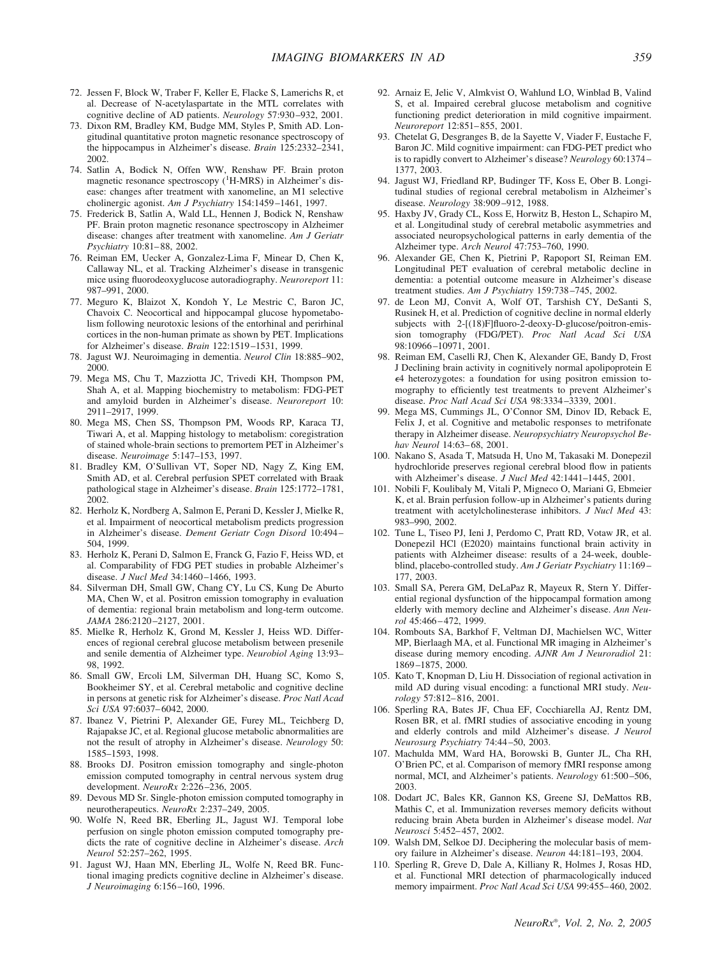- 72. Jessen F, Block W, Traber F, Keller E, Flacke S, Lamerichs R, et al. Decrease of N-acetylaspartate in the MTL correlates with cognitive decline of AD patients. *Neurology* 57:930 –932, 2001.
- 73. Dixon RM, Bradley KM, Budge MM, Styles P, Smith AD. Longitudinal quantitative proton magnetic resonance spectroscopy of the hippocampus in Alzheimer's disease. *Brain* 125:2332–2341, 2002.
- 74. Satlin A, Bodick N, Offen WW, Renshaw PF. Brain proton magnetic resonance spectroscopy (<sup>1</sup>H-MRS) in Alzheimer's disease: changes after treatment with xanomeline, an M1 selective cholinergic agonist. *Am J Psychiatry* 154:1459 –1461, 1997.
- 75. Frederick B, Satlin A, Wald LL, Hennen J, Bodick N, Renshaw PF. Brain proton magnetic resonance spectroscopy in Alzheimer disease: changes after treatment with xanomeline. *Am J Geriatr Psychiatry* 10:81– 88, 2002.
- 76. Reiman EM, Uecker A, Gonzalez-Lima F, Minear D, Chen K, Callaway NL, et al. Tracking Alzheimer's disease in transgenic mice using fluorodeoxyglucose autoradiography. *Neuroreport* 11: 987–991, 2000.
- 77. Meguro K, Blaizot X, Kondoh Y, Le Mestric C, Baron JC, Chavoix C. Neocortical and hippocampal glucose hypometabolism following neurotoxic lesions of the entorhinal and perirhinal cortices in the non-human primate as shown by PET. Implications for Alzheimer's disease. *Brain* 122:1519 –1531, 1999.
- 78. Jagust WJ. Neuroimaging in dementia. *Neurol Clin* 18:885–902, 2000.
- 79. Mega MS, Chu T, Mazziotta JC, Trivedi KH, Thompson PM, Shah A, et al. Mapping biochemistry to metabolism: FDG-PET and amyloid burden in Alzheimer's disease. *Neuroreport* 10: 2911–2917, 1999.
- 80. Mega MS, Chen SS, Thompson PM, Woods RP, Karaca TJ, Tiwari A, et al. Mapping histology to metabolism: coregistration of stained whole-brain sections to premortem PET in Alzheimer's disease. *Neuroimage* 5:147–153, 1997.
- 81. Bradley KM, O'Sullivan VT, Soper ND, Nagy Z, King EM, Smith AD, et al. Cerebral perfusion SPET correlated with Braak pathological stage in Alzheimer's disease. *Brain* 125:1772–1781, 2002.
- 82. Herholz K, Nordberg A, Salmon E, Perani D, Kessler J, Mielke R, et al. Impairment of neocortical metabolism predicts progression in Alzheimer's disease. *Dement Geriatr Cogn Disord* 10:494 – 504, 1999.
- 83. Herholz K, Perani D, Salmon E, Franck G, Fazio F, Heiss WD, et al. Comparability of FDG PET studies in probable Alzheimer's disease. *J Nucl Med* 34:1460-1466, 1993.
- 84. Silverman DH, Small GW, Chang CY, Lu CS, Kung De Aburto MA, Chen W, et al. Positron emission tomography in evaluation of dementia: regional brain metabolism and long-term outcome. JAMA 286:2120-2127, 2001.
- 85. Mielke R, Herholz K, Grond M, Kessler J, Heiss WD. Differences of regional cerebral glucose metabolism between presenile and senile dementia of Alzheimer type. *Neurobiol Aging* 13:93– 98, 1992.
- 86. Small GW, Ercoli LM, Silverman DH, Huang SC, Komo S, Bookheimer SY, et al. Cerebral metabolic and cognitive decline in persons at genetic risk for Alzheimer's disease. *Proc Natl Acad Sci USA* 97:6037– 6042, 2000.
- 87. Ibanez V, Pietrini P, Alexander GE, Furey ML, Teichberg D, Rajapakse JC, et al. Regional glucose metabolic abnormalities are not the result of atrophy in Alzheimer's disease. *Neurology* 50: 1585–1593, 1998.
- 88. Brooks DJ. Positron emission tomography and single-photon emission computed tomography in central nervous system drug development. *NeuroRx* 2:226 –236, 2005.
- 89. Devous MD Sr. Single-photon emission computed tomography in neurotherapeutics. *NeuroRx* 2:237–249, 2005.
- 90. Wolfe N, Reed BR, Eberling JL, Jagust WJ. Temporal lobe perfusion on single photon emission computed tomography predicts the rate of cognitive decline in Alzheimer's disease. *Arch Neurol* 52:257–262, 1995.
- 91. Jagust WJ, Haan MN, Eberling JL, Wolfe N, Reed BR. Functional imaging predicts cognitive decline in Alzheimer's disease. *J Neuroimaging* 6:156 –160, 1996.
- 92. Arnaiz E, Jelic V, Almkvist O, Wahlund LO, Winblad B, Valind S, et al. Impaired cerebral glucose metabolism and cognitive functioning predict deterioration in mild cognitive impairment. *Neuroreport* 12:851– 855, 2001.
- 93. Chetelat G, Desgranges B, de la Sayette V, Viader F, Eustache F, Baron JC. Mild cognitive impairment: can FDG-PET predict who is to rapidly convert to Alzheimer's disease? *Neurology* 60:1374 – 1377, 2003.
- 94. Jagust WJ, Friedland RP, Budinger TF, Koss E, Ober B. Longitudinal studies of regional cerebral metabolism in Alzheimer's disease. *Neurology* 38:909 –912, 1988.
- 95. Haxby JV, Grady CL, Koss E, Horwitz B, Heston L, Schapiro M, et al. Longitudinal study of cerebral metabolic asymmetries and associated neuropsychological patterns in early dementia of the Alzheimer type. *Arch Neurol* 47:753–760, 1990.
- 96. Alexander GE, Chen K, Pietrini P, Rapoport SI, Reiman EM. Longitudinal PET evaluation of cerebral metabolic decline in dementia: a potential outcome measure in Alzheimer's disease treatment studies. *Am J Psychiatry* 159:738 –745, 2002.
- 97. de Leon MJ, Convit A, Wolf OT, Tarshish CY, DeSanti S, Rusinek H, et al. Prediction of cognitive decline in normal elderly subjects with 2-[(18)F]fluoro-2-deoxy-D-glucose/poitron-emission tomography (FDG/PET). *Proc Natl Acad Sci USA* 98:10966 –10971, 2001.
- 98. Reiman EM, Caselli RJ, Chen K, Alexander GE, Bandy D, Frost J Declining brain activity in cognitively normal apolipoprotein E 4 heterozygotes: a foundation for using positron emission tomography to efficiently test treatments to prevent Alzheimer's disease. *Proc Natl Acad Sci USA* 98:3334 –3339, 2001.
- 99. Mega MS, Cummings JL, O'Connor SM, Dinov ID, Reback E, Felix J, et al. Cognitive and metabolic responses to metrifonate therapy in Alzheimer disease. *Neuropsychiatry Neuropsychol Behav Neurol* 14:63– 68, 2001.
- 100. Nakano S, Asada T, Matsuda H, Uno M, Takasaki M. Donepezil hydrochloride preserves regional cerebral blood flow in patients with Alzheimer's disease. *J Nucl Med* 42:1441–1445, 2001.
- 101. Nobili F, Koulibaly M, Vitali P, Migneco O, Mariani G, Ebmeier K, et al. Brain perfusion follow-up in Alzheimer's patients during treatment with acetylcholinesterase inhibitors. *J Nucl Med* 43: 983–990, 2002.
- 102. Tune L, Tiseo PJ, Ieni J, Perdomo C, Pratt RD, Votaw JR, et al. Donepezil HCl (E2020) maintains functional brain activity in patients with Alzheimer disease: results of a 24-week, doubleblind, placebo-controlled study. *Am J Geriatr Psychiatry* 11:169 – 177, 2003.
- 103. Small SA, Perera GM, DeLaPaz R, Mayeux R, Stern Y. Differential regional dysfunction of the hippocampal formation among elderly with memory decline and Alzheimer's disease. *Ann Neurol* 45:466 – 472, 1999.
- 104. Rombouts SA, Barkhof F, Veltman DJ, Machielsen WC, Witter MP, Bierlaagh MA, et al. Functional MR imaging in Alzheimer's disease during memory encoding. *AJNR Am J Neuroradiol* 21: 1869 –1875, 2000.
- 105. Kato T, Knopman D, Liu H. Dissociation of regional activation in mild AD during visual encoding: a functional MRI study. *Neurology* 57:812– 816, 2001.
- 106. Sperling RA, Bates JF, Chua EF, Cocchiarella AJ, Rentz DM, Rosen BR, et al. fMRI studies of associative encoding in young and elderly controls and mild Alzheimer's disease. *J Neurol Neurosurg Psychiatry* 74:44 –50, 2003.
- 107. Machulda MM, Ward HA, Borowski B, Gunter JL, Cha RH, O'Brien PC, et al. Comparison of memory fMRI response among normal, MCI, and Alzheimer's patients. *Neurology* 61:500 –506, 2003.
- 108. Dodart JC, Bales KR, Gannon KS, Greene SJ, DeMattos RB, Mathis C, et al. Immunization reverses memory deficits without reducing brain Abeta burden in Alzheimer's disease model. *Nat Neurosci* 5:452– 457, 2002.
- 109. Walsh DM, Selkoe DJ. Deciphering the molecular basis of memory failure in Alzheimer's disease. *Neuron* 44:181–193, 2004.
- 110. Sperling R, Greve D, Dale A, Killiany R, Holmes J, Rosas HD, et al. Functional MRI detection of pharmacologically induced memory impairment. *Proc Natl Acad Sci USA* 99:455– 460, 2002.